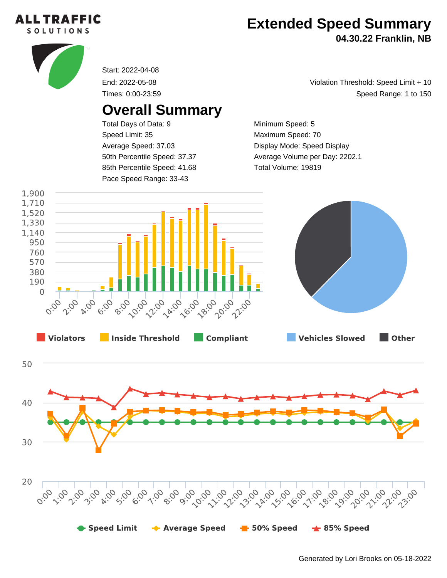

## **Extended Speed Summary**

**04.30.22 Franklin, NB**



Start: 2022-04-08

End: 2022-05-08

Times: 0:00-23:59

## **Overall Summary**

Total Days of Data: 9 Speed Limit: 35 Average Speed: 37.03 50th Percentile Speed: 37.37 85th Percentile Speed: 41.68 Pace Speed Range: 33-43

Speed Range: 1 to 150 Violation Threshold: Speed Limit + 10

Minimum Speed: 5 Maximum Speed: 70 Display Mode: Speed Display Average Volume per Day: 2202.1 Total Volume: 19819